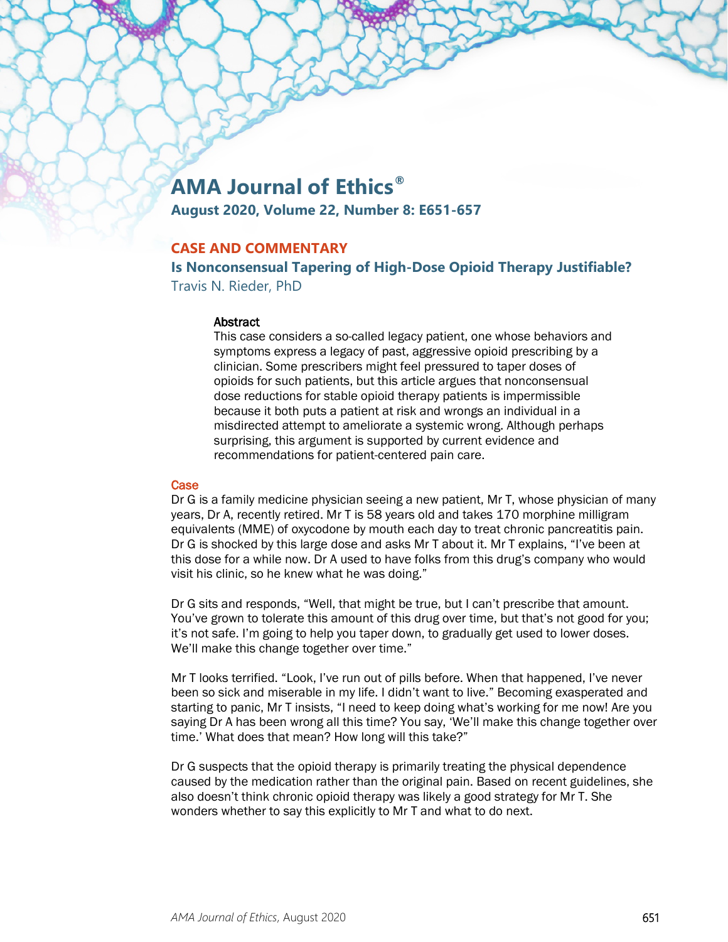# **AMA Journal of Ethics®**

**August 2020, Volume 22, Number 8: E651-657**

## **CASE AND COMMENTARY**

**Is Nonconsensual Tapering of High-Dose Opioid Therapy Justifiable?** Travis N. Rieder, PhD

## Abstract

This case considers a so-called legacy patient, one whose behaviors and symptoms express a legacy of past, aggressive opioid prescribing by a clinician. Some prescribers might feel pressured to taper doses of opioids for such patients, but this article argues that nonconsensual dose reductions for stable opioid therapy patients is impermissible because it both puts a patient at risk and wrongs an individual in a misdirected attempt to ameliorate a systemic wrong. Although perhaps surprising, this argument is supported by current evidence and recommendations for patient-centered pain care.

## **Case**

Dr G is a family medicine physician seeing a new patient, Mr T, whose physician of many years, Dr A, recently retired. Mr T is 58 years old and takes 170 morphine milligram equivalents (MME) of oxycodone by mouth each day to treat chronic pancreatitis pain. Dr G is shocked by this large dose and asks Mr T about it. Mr T explains, "I've been at this dose for a while now. Dr A used to have folks from this drug's company who would visit his clinic, so he knew what he was doing."

Dr G sits and responds, "Well, that might be true, but I can't prescribe that amount. You've grown to tolerate this amount of this drug over time, but that's not good for you; it's not safe. I'm going to help you taper down, to gradually get used to lower doses. We'll make this change together over time."

Mr T looks terrified. "Look, I've run out of pills before. When that happened, I've never been so sick and miserable in my life. I didn't want to live." Becoming exasperated and starting to panic, Mr T insists, "I need to keep doing what's working for me now! Are you saying Dr A has been wrong all this time? You say, 'We'll make this change together over time.' What does that mean? How long will this take?"

Dr G suspects that the opioid therapy is primarily treating the physical dependence caused by the medication rather than the original pain. Based on recent guidelines, she also doesn't think chronic opioid therapy was likely a good strategy for Mr T. She wonders whether to say this explicitly to Mr T and what to do next.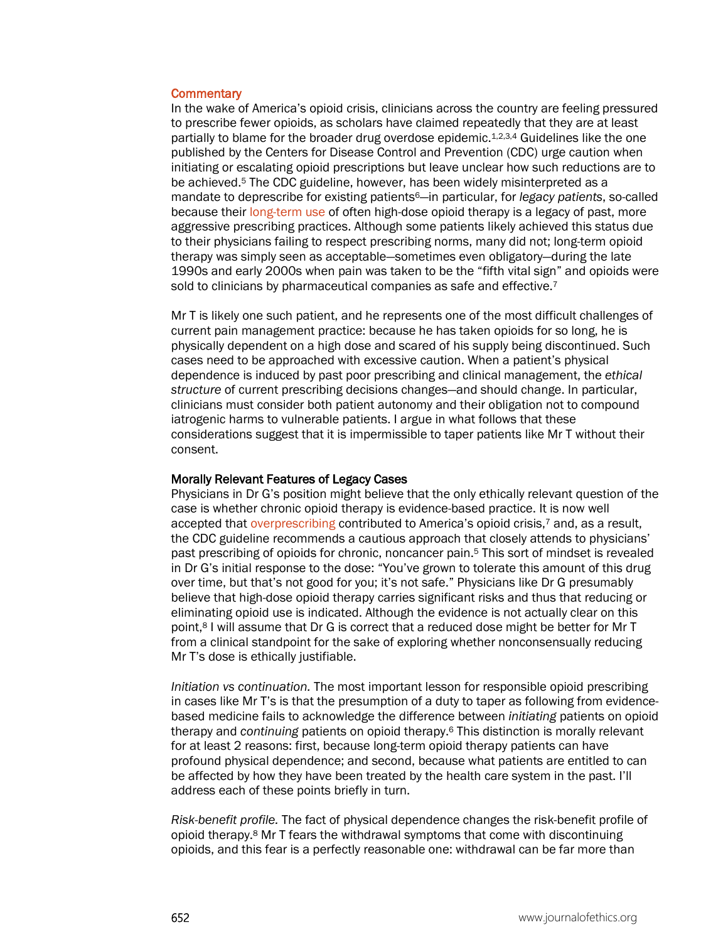#### **Commentary**

In the wake of America's opioid crisis, clinicians across the country are feeling pressured to prescribe fewer opioids, as scholars have claimed repeatedly that they are at least partially to blame for the broader drug overdose epidemic.<sup>1,2,3,4</sup> Guidelines like the one published by the Centers for Disease Control and Prevention (CDC) urge caution when initiating or escalating opioid prescriptions but leave unclear how such reductions are to be achieved.5 The CDC guideline, however, has been widely misinterpreted as a mandate to deprescribe for existing patients6—in particular, for *legacy patients*, so-called because their [long-term use](https://journalofethics.ama-assn.org/article/long-term-opioid-treatment/2013-05) of often high-dose opioid therapy is a legacy of past, more aggressive prescribing practices. Although some patients likely achieved this status due to their physicians failing to respect prescribing norms, many did not; long-term opioid therapy was simply seen as acceptable—sometimes even obligatory—during the late 1990s and early 2000s when pain was taken to be the "fifth vital sign" and opioids were sold to clinicians by pharmaceutical companies as safe and effective.<sup>7</sup>

Mr T is likely one such patient, and he represents one of the most difficult challenges of current pain management practice: because he has taken opioids for so long, he is physically dependent on a high dose and scared of his supply being discontinued. Such cases need to be approached with excessive caution. When a patient's physical dependence is induced by past poor prescribing and clinical management, the *ethical structure* of current prescribing decisions changes—and should change. In particular, clinicians must consider both patient autonomy and their obligation not to compound iatrogenic harms to vulnerable patients. I argue in what follows that these considerations suggest that it is impermissible to taper patients like Mr T without their consent.

#### Morally Relevant Features of Legacy Cases

Physicians in Dr G's position might believe that the only ethically relevant question of the case is whether chronic opioid therapy is evidence-based practice. It is now well accepted tha[t overprescribing](https://journalofethics.ama-assn.org/article/what-clinicians-and-health-professions-students-should-learn-about-how-pharmaceutical-marketing/2020-08) contributed to America's opioid crisis,7 and, as a result, the CDC guideline recommends a cautious approach that closely attends to physicians' past prescribing of opioids for chronic, noncancer pain.5 This sort of mindset is revealed in Dr G's initial response to the dose: "You've grown to tolerate this amount of this drug over time, but that's not good for you; it's not safe." Physicians like Dr G presumably believe that high-dose opioid therapy carries significant risks and thus that reducing or eliminating opioid use is indicated. Although the evidence is not actually clear on this point,8 I will assume that Dr G is correct that a reduced dose might be better for Mr T from a clinical standpoint for the sake of exploring whether nonconsensually reducing Mr T's dose is ethically justifiable.

*Initiation vs continuation.* The most important lesson for responsible opioid prescribing in cases like Mr T's is that the presumption of a duty to taper as following from evidencebased medicine fails to acknowledge the difference between *initiating* patients on opioid therapy and *continuing* patients on opioid therapy.6 This distinction is morally relevant for at least 2 reasons: first, because long-term opioid therapy patients can have profound physical dependence; and second, because what patients are entitled to can be affected by how they have been treated by the health care system in the past. I'll address each of these points briefly in turn.

*Risk-benefit profile.* The fact of physical dependence changes the risk-benefit profile of opioid therapy.8 Mr T fears the withdrawal symptoms that come with discontinuing opioids, and this fear is a perfectly reasonable one: withdrawal can be far more than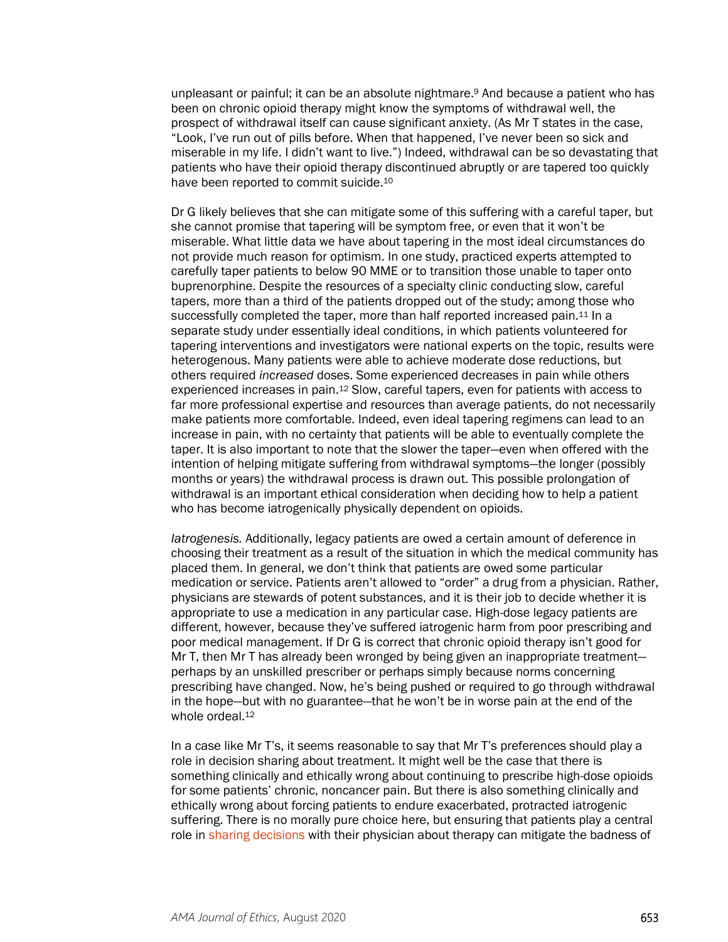unpleasant or painful; it can be an absolute nightmare.<sup>9</sup> And because a patient who has been on chronic opioid therapy might know the symptoms of withdrawal well, the prospect of withdrawal itself can cause significant anxiety. (As Mr T states in the case, "Look, I've run out of pills before. When that happened, I've never been so sick and miserable in my life. I didn't want to live.") Indeed, withdrawal can be so devastating that patients who have their opioid therapy discontinued abruptly or are tapered too quickly have been reported to commit suicide.10

Dr G likely believes that she can mitigate some of this suffering with a careful taper, but she cannot promise that tapering will be symptom free, or even that it won't be miserable. What little data we have about tapering in the most ideal circumstances do not provide much reason for optimism. In one study, practiced experts attempted to carefully taper patients to below 90 MME or to transition those unable to taper onto buprenorphine. Despite the resources of a specialty clinic conducting slow, careful tapers, more than a third of the patients dropped out of the study; among those who successfully completed the taper, more than half reported increased pain.<sup>11</sup> In a separate study under essentially ideal conditions, in which patients volunteered for tapering interventions and investigators were national experts on the topic, results were heterogenous. Many patients were able to achieve moderate dose reductions, but others required *increased* doses. Some experienced decreases in pain while others experienced increases in pain.12 Slow, careful tapers, even for patients with access to far more professional expertise and resources than average patients, do not necessarily make patients more comfortable. Indeed, even ideal tapering regimens can lead to an increase in pain, with no certainty that patients will be able to eventually complete the taper. It is also important to note that the slower the taper—even when offered with the intention of helping mitigate suffering from withdrawal symptoms—the longer (possibly months or years) the withdrawal process is drawn out. This possible prolongation of withdrawal is an important ethical consideration when deciding how to help a patient who has become iatrogenically physically dependent on opioids.

*Iatrogenesis.* Additionally, legacy patients are owed a certain amount of deference in choosing their treatment as a result of the situation in which the medical community has placed them. In general, we don't think that patients are owed some particular medication or service. Patients aren't allowed to "order" a drug from a physician. Rather, physicians are stewards of potent substances, and it is their job to decide whether it is appropriate to use a medication in any particular case. High-dose legacy patients are different, however, because they've suffered iatrogenic harm from poor prescribing and poor medical management. If Dr G is correct that chronic opioid therapy isn't good for Mr T, then Mr T has already been wronged by being given an inappropriate treatment perhaps by an unskilled prescriber or perhaps simply because norms concerning prescribing have changed. Now, he's being pushed or required to go through withdrawal in the hope—but with no guarantee—that he won't be in worse pain at the end of the whole ordeal.<sup>12</sup>

In a case like Mr T's, it seems reasonable to say that Mr T's preferences should play a role in decision sharing about treatment. It might well be the case that there is something clinically and ethically wrong about continuing to prescribe high-dose opioids for some patients' chronic, noncancer pain. But there is also something clinically and ethically wrong about forcing patients to endure exacerbated, protracted iatrogenic suffering. There is no morally pure choice here, but ensuring that patients play a central role in [sharing decisions](https://journalofethics.ama-assn.org/article/how-should-physician-respond-patients-pain-when-new-opioid-prescribing-laws-limit-shared-decision/2019-10) with their physician about therapy can mitigate the badness of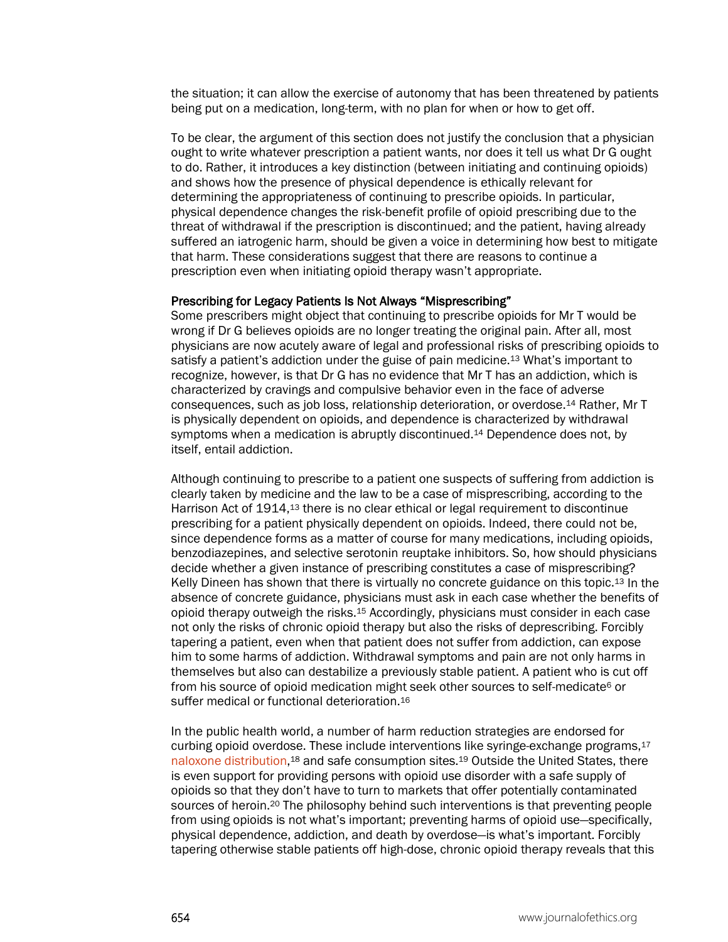the situation; it can allow the exercise of autonomy that has been threatened by patients being put on a medication, long-term, with no plan for when or how to get off.

To be clear, the argument of this section does not justify the conclusion that a physician ought to write whatever prescription a patient wants, nor does it tell us what Dr G ought to do. Rather, it introduces a key distinction (between initiating and continuing opioids) and shows how the presence of physical dependence is ethically relevant for determining the appropriateness of continuing to prescribe opioids. In particular, physical dependence changes the risk-benefit profile of opioid prescribing due to the threat of withdrawal if the prescription is discontinued; and the patient, having already suffered an iatrogenic harm, should be given a voice in determining how best to mitigate that harm. These considerations suggest that there are reasons to continue a prescription even when initiating opioid therapy wasn't appropriate.

### Prescribing for Legacy Patients Is Not Always "Misprescribing"

Some prescribers might object that continuing to prescribe opioids for Mr T would be wrong if Dr G believes opioids are no longer treating the original pain. After all, most physicians are now acutely aware of legal and professional risks of prescribing opioids to satisfy a patient's addiction under the guise of pain medicine.13 What's important to recognize, however, is that Dr G has no evidence that Mr T has an addiction, which is characterized by cravings and compulsive behavior even in the face of adverse consequences, such as job loss, relationship deterioration, or overdose.14 Rather, Mr T is physically dependent on opioids, and dependence is characterized by withdrawal symptoms when a medication is abruptly discontinued.<sup>14</sup> Dependence does not, by itself, entail addiction.

Although continuing to prescribe to a patient one suspects of suffering from addiction is clearly taken by medicine and the law to be a case of misprescribing, according to the Harrison Act of 1914,13 there is no clear ethical or legal requirement to discontinue prescribing for a patient physically dependent on opioids. Indeed, there could not be, since dependence forms as a matter of course for many medications, including opioids, benzodiazepines, and selective serotonin reuptake inhibitors. So, how should physicians decide whether a given instance of prescribing constitutes a case of misprescribing? Kelly Dineen has shown that there is virtually no concrete guidance on this topic.13 In the absence of concrete guidance, physicians must ask in each case whether the benefits of opioid therapy outweigh the risks.15 Accordingly, physicians must consider in each case not only the risks of chronic opioid therapy but also the risks of deprescribing. Forcibly tapering a patient, even when that patient does not suffer from addiction, can expose him to some harms of addiction. Withdrawal symptoms and pain are not only harms in themselves but also can destabilize a previously stable patient. A patient who is cut off from his source of opioid medication might seek other sources to self-medicate<sup>6</sup> or suffer medical or functional deterioration.16

In the public health world, a number of harm reduction strategies are endorsed for curbing opioid overdose. These include interventions like syringe-exchange programs,17 [naloxone distribution,](https://journalofethics.ama-assn.org/article/crisis-our-neighborhood/2018-02)18 and safe consumption sites.19 Outside the United States, there is even support for providing persons with opioid use disorder with a safe supply of opioids so that they don't have to turn to markets that offer potentially contaminated sources of heroin.<sup>20</sup> The philosophy behind such interventions is that preventing people from using opioids is not what's important; preventing harms of opioid use—specifically, physical dependence, addiction, and death by overdose—is what's important. Forcibly tapering otherwise stable patients off high-dose, chronic opioid therapy reveals that this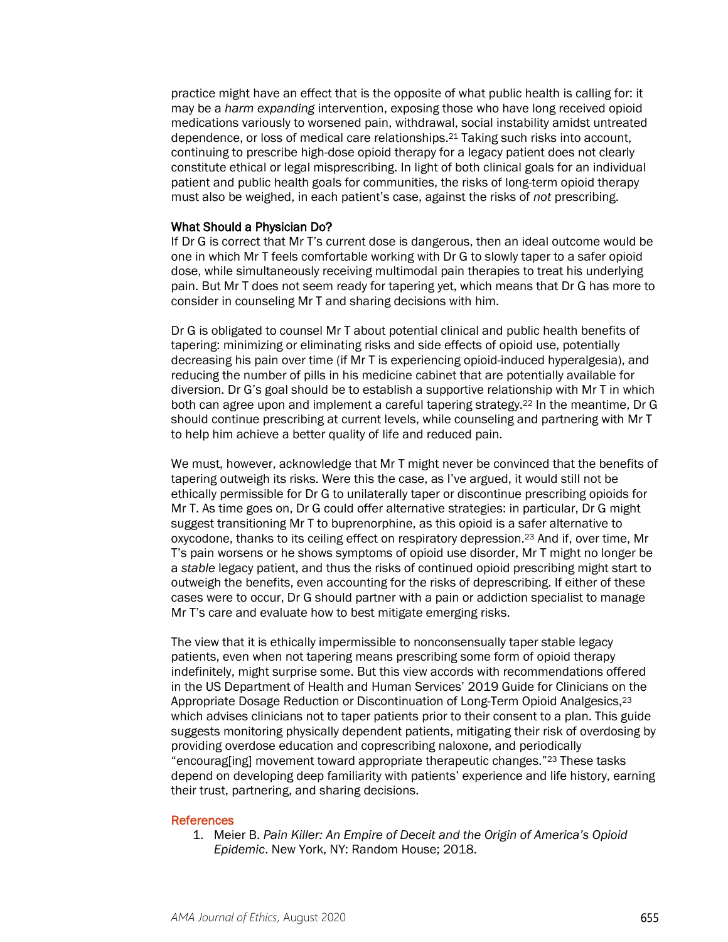practice might have an effect that is the opposite of what public health is calling for: it may be a *harm expanding* intervention, exposing those who have long received opioid medications variously to worsened pain, withdrawal, social instability amidst untreated dependence, or loss of medical care relationships.21 Taking such risks into account, continuing to prescribe high-dose opioid therapy for a legacy patient does not clearly constitute ethical or legal misprescribing. In light of both clinical goals for an individual patient and public health goals for communities, the risks of long-term opioid therapy must also be weighed, in each patient's case, against the risks of *not* prescribing.

#### What Should a Physician Do?

If Dr G is correct that Mr T's current dose is dangerous, then an ideal outcome would be one in which Mr T feels comfortable working with Dr G to slowly taper to a safer opioid dose, while simultaneously receiving multimodal pain therapies to treat his underlying pain. But Mr T does not seem ready for tapering yet, which means that Dr G has more to consider in counseling Mr T and sharing decisions with him.

Dr G is obligated to counsel Mr T about potential clinical and public health benefits of tapering: minimizing or eliminating risks and side effects of opioid use, potentially decreasing his pain over time (if Mr T is experiencing opioid-induced hyperalgesia), and reducing the number of pills in his medicine cabinet that are potentially available for diversion. Dr G's goal should be to establish a supportive relationship with Mr T in which both can agree upon and implement a careful tapering strategy.22 In the meantime, Dr G should continue prescribing at current levels, while counseling and partnering with Mr T to help him achieve a better quality of life and reduced pain.

We must, however, acknowledge that Mr T might never be convinced that the benefits of tapering outweigh its risks. Were this the case, as I've argued, it would still not be ethically permissible for Dr G to unilaterally taper or discontinue prescribing opioids for Mr T. As time goes on, Dr G could offer alternative strategies: in particular, Dr G might suggest transitioning Mr T to buprenorphine, as this opioid is a safer alternative to oxycodone, thanks to its ceiling effect on respiratory depression.23 And if, over time, Mr T's pain worsens or he shows symptoms of opioid use disorder, Mr T might no longer be a *stable* legacy patient, and thus the risks of continued opioid prescribing might start to outweigh the benefits, even accounting for the risks of deprescribing. If either of these cases were to occur, Dr G should partner with a pain or addiction specialist to manage Mr T's care and evaluate how to best mitigate emerging risks.

The view that it is ethically impermissible to nonconsensually taper stable legacy patients, even when not tapering means prescribing some form of opioid therapy indefinitely, might surprise some. But this view accords with recommendations offered in the US Department of Health and Human Services' 2019 Guide for Clinicians on the Appropriate Dosage Reduction or Discontinuation of Long-Term Opioid Analgesics,23 which advises clinicians not to taper patients prior to their consent to a plan. This guide suggests monitoring physically dependent patients, mitigating their risk of overdosing by providing overdose education and coprescribing naloxone, and periodically "encourag[ing] movement toward appropriate therapeutic changes."23 These tasks depend on developing deep familiarity with patients' experience and life history, earning their trust, partnering, and sharing decisions.

#### **References**

1. Meier B. *Pain Killer: An Empire of Deceit and the Origin of America's Opioid Epidemic*. New York, NY: Random House; 2018.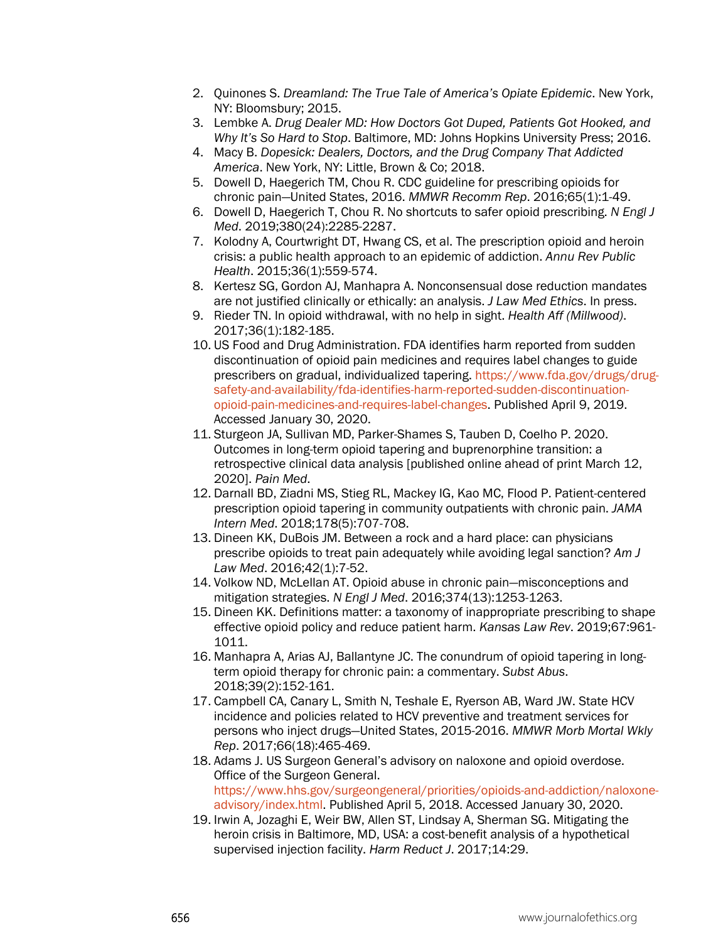- 2. Quinones S. *Dreamland: The True Tale of America's Opiate Epidemic*. New York, NY: Bloomsbury; 2015.
- 3. Lembke A. *Drug Dealer MD: How Doctors Got Duped, Patients Got Hooked, and Why It's So Hard to Stop*. Baltimore, MD: Johns Hopkins University Press; 2016.
- 4. Macy B. *Dopesick: Dealers, Doctors, and the Drug Company That Addicted America*. New York, NY: Little, Brown & Co; 2018.
- 5. Dowell D, Haegerich TM, Chou R. CDC guideline for prescribing opioids for chronic pain—United States, 2016. *MMWR Recomm Rep*. 2016;65(1):1-49.
- 6. Dowell D, Haegerich T, Chou R. No shortcuts to safer opioid prescribing. *N Engl J Med*. 2019;380(24):2285-2287.
- 7. Kolodny A, Courtwright DT, Hwang CS, et al. The prescription opioid and heroin crisis: a public health approach to an epidemic of addiction. *Annu Rev Public Health*. 2015;36(1):559-574.
- 8. Kertesz SG, Gordon AJ, Manhapra A. Nonconsensual dose reduction mandates are not justified clinically or ethically: an analysis. *J Law Med Ethics*. In press.
- 9. Rieder TN. In opioid withdrawal, with no help in sight. *Health Aff (Millwood)*. 2017;36(1):182-185.
- 10. US Food and Drug Administration. FDA identifies harm reported from sudden discontinuation of opioid pain medicines and requires label changes to guide prescribers on gradual, individualized tapering. [https://www.fda.gov/drugs/drug](https://www.fda.gov/drugs/drug-safety-and-availability/fda-identifies-harm-reported-sudden-discontinuation-opioid-pain-medicines-and-requires-label-changes)[safety-and-availability/fda-identifies-harm-reported-sudden-discontinuation](https://www.fda.gov/drugs/drug-safety-and-availability/fda-identifies-harm-reported-sudden-discontinuation-opioid-pain-medicines-and-requires-label-changes)[opioid-pain-medicines-and-requires-label-changes.](https://www.fda.gov/drugs/drug-safety-and-availability/fda-identifies-harm-reported-sudden-discontinuation-opioid-pain-medicines-and-requires-label-changes) Published April 9, 2019. Accessed January 30, 2020.
- 11. Sturgeon JA, Sullivan MD, Parker-Shames S, Tauben D, Coelho P. 2020. Outcomes in long-term opioid tapering and buprenorphine transition: a retrospective clinical data analysis [published online ahead of print March 12, 2020]. *Pain Med*.
- 12. Darnall BD, Ziadni MS, Stieg RL, Mackey IG, Kao MC, Flood P. Patient-centered prescription opioid tapering in community outpatients with chronic pain. *JAMA Intern Med*. 2018;178(5):707-708.
- 13. Dineen KK, DuBois JM. Between a rock and a hard place: can physicians prescribe opioids to treat pain adequately while avoiding legal sanction? *Am J Law Med*. 2016;42(1):7-52.
- 14. Volkow ND, McLellan AT. Opioid abuse in chronic pain—misconceptions and mitigation strategies. *N Engl J Med*. 2016;374(13):1253-1263.
- 15. Dineen KK. Definitions matter: a taxonomy of inappropriate prescribing to shape effective opioid policy and reduce patient harm. *Kansas Law Rev*. 2019;67:961- 1011.
- 16. Manhapra A, Arias AJ, Ballantyne JC. The conundrum of opioid tapering in longterm opioid therapy for chronic pain: a commentary. *Subst Abus*. 2018;39(2):152-161.
- 17. Campbell CA, Canary L, Smith N, Teshale E, Ryerson AB, Ward JW. State HCV incidence and policies related to HCV preventive and treatment services for persons who inject drugs—United States, 2015-2016. *MMWR Morb Mortal Wkly Rep*. 2017;66(18):465-469.
- 18. Adams J. US Surgeon General's advisory on naloxone and opioid overdose. Office of the Surgeon General. [https://www.hhs.gov/surgeongeneral/priorities/opioids-and-addiction/naloxone](https://www.hhs.gov/surgeongeneral/priorities/opioids-and-addiction/naloxone-advisory/index.html)[advisory/index.html.](https://www.hhs.gov/surgeongeneral/priorities/opioids-and-addiction/naloxone-advisory/index.html) Published April 5, 2018. Accessed January 30, 2020.
- 19. Irwin A, Jozaghi E, Weir BW, Allen ST, Lindsay A, Sherman SG. Mitigating the heroin crisis in Baltimore, MD, USA: a cost-benefit analysis of a hypothetical supervised injection facility. *Harm Reduct J*. 2017;14:29.